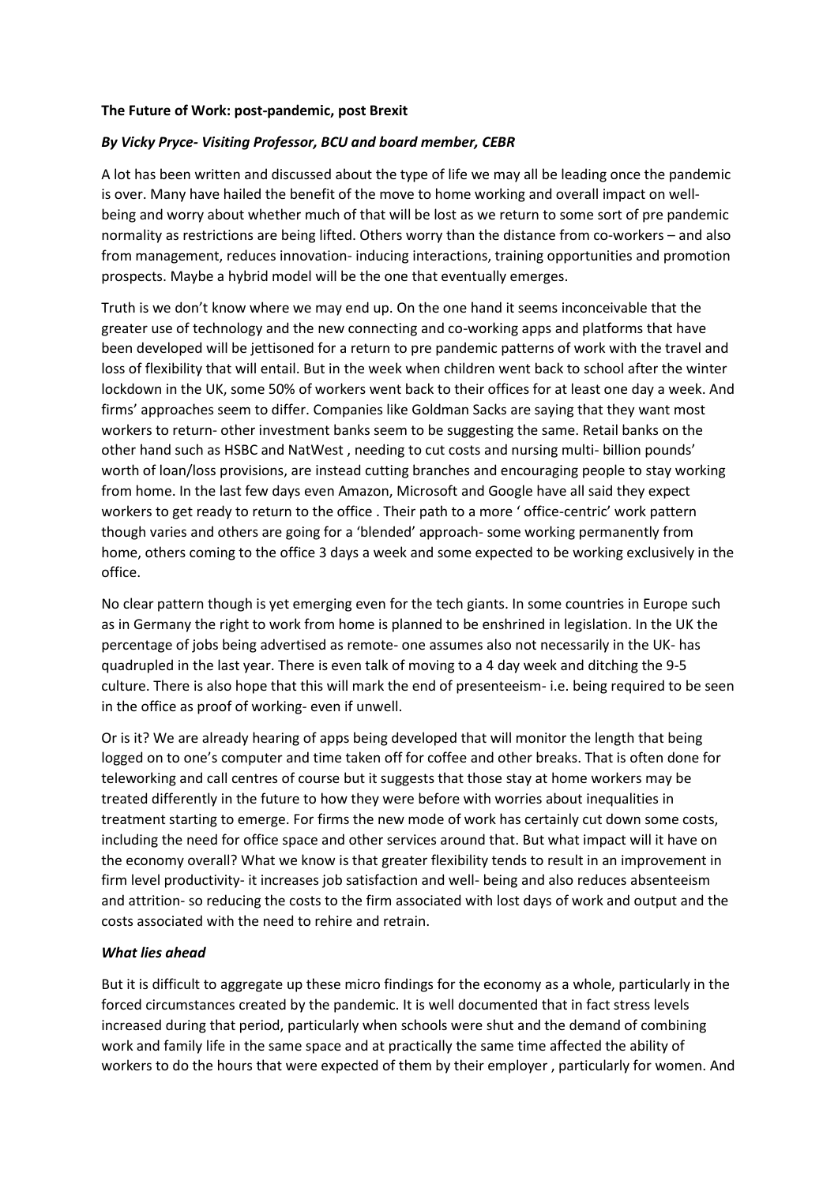## **The Future of Work: post-pandemic, post Brexit**

## *By Vicky Pryce- Visiting Professor, BCU and board member, CEBR*

A lot has been written and discussed about the type of life we may all be leading once the pandemic is over. Many have hailed the benefit of the move to home working and overall impact on wellbeing and worry about whether much of that will be lost as we return to some sort of pre pandemic normality as restrictions are being lifted. Others worry than the distance from co-workers – and also from management, reduces innovation- inducing interactions, training opportunities and promotion prospects. Maybe a hybrid model will be the one that eventually emerges.

Truth is we don't know where we may end up. On the one hand it seems inconceivable that the greater use of technology and the new connecting and co-working apps and platforms that have been developed will be jettisoned for a return to pre pandemic patterns of work with the travel and loss of flexibility that will entail. But in the week when children went back to school after the winter lockdown in the UK, some 50% of workers went back to their offices for at least one day a week. And firms' approaches seem to differ. Companies like Goldman Sacks are saying that they want most workers to return- other investment banks seem to be suggesting the same. Retail banks on the other hand such as HSBC and NatWest , needing to cut costs and nursing multi- billion pounds' worth of loan/loss provisions, are instead cutting branches and encouraging people to stay working from home. In the last few days even Amazon, Microsoft and Google have all said they expect workers to get ready to return to the office . Their path to a more ' office-centric' work pattern though varies and others are going for a 'blended' approach- some working permanently from home, others coming to the office 3 days a week and some expected to be working exclusively in the office.

No clear pattern though is yet emerging even for the tech giants. In some countries in Europe such as in Germany the right to work from home is planned to be enshrined in legislation. In the UK the percentage of jobs being advertised as remote- one assumes also not necessarily in the UK- has quadrupled in the last year. There is even talk of moving to a 4 day week and ditching the 9-5 culture. There is also hope that this will mark the end of presenteeism- i.e. being required to be seen in the office as proof of working- even if unwell.

Or is it? We are already hearing of apps being developed that will monitor the length that being logged on to one's computer and time taken off for coffee and other breaks. That is often done for teleworking and call centres of course but it suggests that those stay at home workers may be treated differently in the future to how they were before with worries about inequalities in treatment starting to emerge. For firms the new mode of work has certainly cut down some costs, including the need for office space and other services around that. But what impact will it have on the economy overall? What we know is that greater flexibility tends to result in an improvement in firm level productivity- it increases job satisfaction and well- being and also reduces absenteeism and attrition- so reducing the costs to the firm associated with lost days of work and output and the costs associated with the need to rehire and retrain.

## *What lies ahead*

But it is difficult to aggregate up these micro findings for the economy as a whole, particularly in the forced circumstances created by the pandemic. It is well documented that in fact stress levels increased during that period, particularly when schools were shut and the demand of combining work and family life in the same space and at practically the same time affected the ability of workers to do the hours that were expected of them by their employer , particularly for women. And